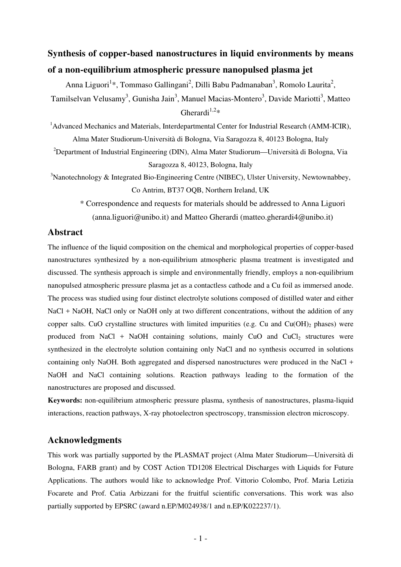# **Synthesis of copper-based nanostructures in liquid environments by means of a non-equilibrium atmospheric pressure nanopulsed plasma jet**

Anna Liguori<sup>1</sup>\*, Tommaso Gallingani<sup>2</sup>, Dilli Babu Padmanaban<sup>3</sup>, Romolo Laurita<sup>2</sup>, Tamilselvan Velusamy<sup>3</sup>, Gunisha Jain<sup>3</sup>, Manuel Macias-Montero<sup>3</sup>, Davide Mariotti<sup>3</sup>, Matteo Gherardi<sup>1,2\*</sup>

<sup>1</sup>Advanced Mechanics and Materials, Interdepartmental Center for Industrial Research (AMM-ICIR), Alma Mater Studiorum-Università di Bologna, Via Saragozza 8, 40123 Bologna, Italy

<sup>2</sup>Department of Industrial Engineering (DIN), Alma Mater Studiorum—Università di Bologna, Via Saragozza 8, 40123, Bologna, Italy

 $3$ Nanotechnology & Integrated Bio-Engineering Centre (NIBEC), Ulster University, Newtownabbey, Co Antrim, BT37 OQB, Northern Ireland, UK

\* Correspondence and requests for materials should be addressed to Anna Liguori (anna.liguori@unibo.it) and Matteo Gherardi (matteo.gherardi4@unibo.it)

## **Abstract**

The influence of the liquid composition on the chemical and morphological properties of copper-based nanostructures synthesized by a non-equilibrium atmospheric plasma treatment is investigated and discussed. The synthesis approach is simple and environmentally friendly, employs a non-equilibrium nanopulsed atmospheric pressure plasma jet as a contactless cathode and a Cu foil as immersed anode. The process was studied using four distinct electrolyte solutions composed of distilled water and either NaCl + NaOH, NaCl only or NaOH only at two different concentrations, without the addition of any copper salts. CuO crystalline structures with limited impurities (e.g. Cu and  $Cu(OH)_2$  phases) were produced from NaCl + NaOH containing solutions, mainly CuO and CuCl<sub>2</sub> structures were synthesized in the electrolyte solution containing only NaCl and no synthesis occurred in solutions containing only NaOH. Both aggregated and dispersed nanostructures were produced in the NaCl + NaOH and NaCl containing solutions. Reaction pathways leading to the formation of the nanostructures are proposed and discussed.

**Keywords:** non-equilibrium atmospheric pressure plasma, synthesis of nanostructures, plasma-liquid interactions, reaction pathways, X-ray photoelectron spectroscopy, transmission electron microscopy.

## **Acknowledgments**

This work was partially supported by the PLASMAT project (Alma Mater Studiorum—Università di Bologna, FARB grant) and by COST Action TD1208 Electrical Discharges with Liquids for Future Applications. The authors would like to acknowledge Prof. Vittorio Colombo, Prof. Maria Letizia Focarete and Prof. Catia Arbizzani for the fruitful scientific conversations. This work was also partially supported by EPSRC (award n.EP/M024938/1 and n.EP/K022237/1).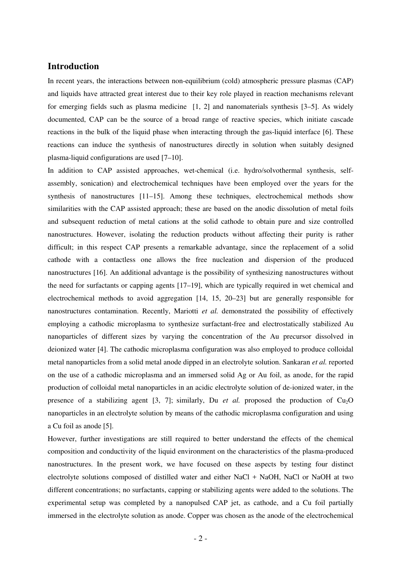## **Introduction**

In recent years, the interactions between non-equilibrium (cold) atmospheric pressure plasmas (CAP) and liquids have attracted great interest due to their key role played in reaction mechanisms relevant for emerging fields such as plasma medicine [1, 2] and nanomaterials synthesis [3–5]. As widely documented, CAP can be the source of a broad range of reactive species, which initiate cascade reactions in the bulk of the liquid phase when interacting through the gas-liquid interface [6]. These reactions can induce the synthesis of nanostructures directly in solution when suitably designed plasma-liquid configurations are used [7–10].

In addition to CAP assisted approaches, wet-chemical (i.e. hydro/solvothermal synthesis, selfassembly, sonication) and electrochemical techniques have been employed over the years for the synthesis of nanostructures [11–15]. Among these techniques, electrochemical methods show similarities with the CAP assisted approach; these are based on the anodic dissolution of metal foils and subsequent reduction of metal cations at the solid cathode to obtain pure and size controlled nanostructures. However, isolating the reduction products without affecting their purity is rather difficult; in this respect CAP presents a remarkable advantage, since the replacement of a solid cathode with a contactless one allows the free nucleation and dispersion of the produced nanostructures [16]. An additional advantage is the possibility of synthesizing nanostructures without the need for surfactants or capping agents [17–19], which are typically required in wet chemical and electrochemical methods to avoid aggregation [14, 15, 20–23] but are generally responsible for nanostructures contamination. Recently, Mariotti *et al.* demonstrated the possibility of effectively employing a cathodic microplasma to synthesize surfactant-free and electrostatically stabilized Au nanoparticles of different sizes by varying the concentration of the Au precursor dissolved in deionized water [4]. The cathodic microplasma configuration was also employed to produce colloidal metal nanoparticles from a solid metal anode dipped in an electrolyte solution. Sankaran *et al.* reported on the use of a cathodic microplasma and an immersed solid Ag or Au foil, as anode, for the rapid production of colloidal metal nanoparticles in an acidic electrolyte solution of de-ionized water, in the presence of a stabilizing agent [3, 7]; similarly, Du *et al.* proposed the production of  $Cu<sub>2</sub>O$ nanoparticles in an electrolyte solution by means of the cathodic microplasma configuration and using a Cu foil as anode [5].

However, further investigations are still required to better understand the effects of the chemical composition and conductivity of the liquid environment on the characteristics of the plasma-produced nanostructures. In the present work, we have focused on these aspects by testing four distinct electrolyte solutions composed of distilled water and either NaCl + NaOH, NaCl or NaOH at two different concentrations; no surfactants, capping or stabilizing agents were added to the solutions. The experimental setup was completed by a nanopulsed CAP jet, as cathode, and a Cu foil partially immersed in the electrolyte solution as anode. Copper was chosen as the anode of the electrochemical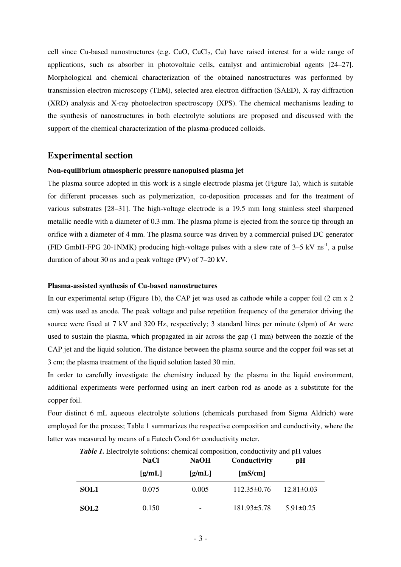cell since Cu-based nanostructures (e.g. CuO, CuCl<sub>2</sub>, Cu) have raised interest for a wide range of applications, such as absorber in photovoltaic cells, catalyst and antimicrobial agents [24–27]. Morphological and chemical characterization of the obtained nanostructures was performed by transmission electron microscopy (TEM), selected area electron diffraction (SAED), X-ray diffraction (XRD) analysis and X-ray photoelectron spectroscopy (XPS). The chemical mechanisms leading to the synthesis of nanostructures in both electrolyte solutions are proposed and discussed with the support of the chemical characterization of the plasma-produced colloids.

## **Experimental section**

## **Non-equilibrium atmospheric pressure nanopulsed plasma jet**

The plasma source adopted in this work is a single electrode plasma jet (Figure 1a), which is suitable for different processes such as polymerization, co-deposition processes and for the treatment of various substrates [28–31]. The high-voltage electrode is a 19.5 mm long stainless steel sharpened metallic needle with a diameter of 0.3 mm. The plasma plume is ejected from the source tip through an orifice with a diameter of 4 mm. The plasma source was driven by a commercial pulsed DC generator (FID GmbH-FPG 20-1NMK) producing high-voltage pulses with a slew rate of  $3-5$  kV ns<sup>-1</sup>, a pulse duration of about 30 ns and a peak voltage (PV) of 7–20 kV.

#### **Plasma-assisted synthesis of Cu-based nanostructures**

In our experimental setup (Figure 1b), the CAP jet was used as cathode while a copper foil (2 cm x 2) cm) was used as anode. The peak voltage and pulse repetition frequency of the generator driving the source were fixed at 7 kV and 320 Hz, respectively; 3 standard litres per minute (slpm) of Ar were used to sustain the plasma, which propagated in air across the gap (1 mm) between the nozzle of the CAP jet and the liquid solution. The distance between the plasma source and the copper foil was set at 3 cm; the plasma treatment of the liquid solution lasted 30 min.

In order to carefully investigate the chemistry induced by the plasma in the liquid environment, additional experiments were performed using an inert carbon rod as anode as a substitute for the copper foil.

Four distinct 6 mL aqueous electrolyte solutions (chemicals purchased from Sigma Aldrich) were employed for the process; Table 1 summarizes the respective composition and conductivity, where the latter was measured by means of a Eutech Cond 6+ conductivity meter.

|                  | <b>NaCl</b> | <b>NaOH</b>              | Conductivity      | pН               |  |  |
|------------------|-------------|--------------------------|-------------------|------------------|--|--|
|                  | [g/mL]      | [g/mL]                   | [mS/cm]           |                  |  |  |
| <b>SOL1</b>      | 0.075       | 0.005                    | $112.35\pm0.76$   | $12.81 \pm 0.03$ |  |  |
| SOL <sub>2</sub> | 0.150       | $\overline{\phantom{a}}$ | $181.93 \pm 5.78$ | $5.91 \pm 0.25$  |  |  |

*Table 1.* Electrolyte solutions: chemical composition, conductivity and pH values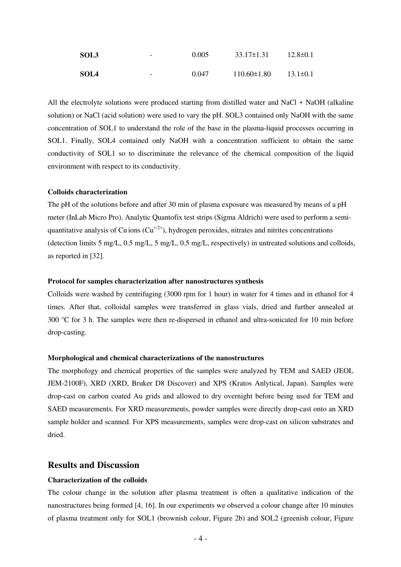| SOL3        | $\overline{\phantom{a}}$ | 0.005 | $33.17 \pm 1.31$  | $12.8 \pm 0.1$ |
|-------------|--------------------------|-------|-------------------|----------------|
| <b>SOL4</b> | $\overline{\phantom{a}}$ | 0.047 | $110.60 \pm 1.80$ | $13.1 \pm 0.1$ |

All the electrolyte solutions were produced starting from distilled water and NaCl + NaOH (alkaline solution) or NaCl (acid solution) were used to vary the pH. SOL3 contained only NaOH with the same concentration of SOL1 to understand the role of the base in the plasma-liquid processes occurring in SOL1. Finally, SOL4 contained only NaOH with a concentration sufficient to obtain the same conductivity of SOL1 so to discriminate the relevance of the chemical composition of the liquid environment with respect to its conductivity.

#### **Colloids characterization**

The pH of the solutions before and after 30 min of plasma exposure was measured by means of a pH meter (InLab Micro Pro). Analytic Quantofix test strips (Sigma Aldrich) were used to perform a semiquantitative analysis of Cu ions  $(Cu^{+/2+})$ , hydrogen peroxides, nitrates and nitrites concentrations (detection limits 5 mg/L, 0.5 mg/L, 5 mg/L, 0.5 mg/L, respectively) in untreated solutions and colloids, as reported in [32].

#### **Protocol for samples characterization after nanostructures synthesis**

Colloids were washed by centrifuging (3000 rpm for 1 hour) in water for 4 times and in ethanol for 4 times. After that, colloidal samples were transferred in glass vials, dried and further annealed at 300 °C for 3 h. The samples were then re-dispersed in ethanol and ultra-sonicated for 10 min before drop-casting.

#### **Morphological and chemical characterizations of the nanostructures**

The morphology and chemical properties of the samples were analyzed by TEM and SAED (JEOL JEM-2100F), XRD (XRD, Bruker D8 Discover) and XPS (Kratos Anlytical, Japan). Samples were drop-cast on carbon coated Au grids and allowed to dry overnight before being used for TEM and SAED measurements. For XRD measurements, powder samples were directly drop-cast onto an XRD sample holder and scanned. For XPS measurements, samples were drop-cast on silicon substrates and dried.

### **Results and Discussion**

#### **Characterization of the colloids**

The colour change in the solution after plasma treatment is often a qualitative indication of the nanostructures being formed [4, 16]. In our experiments we observed a colour change after 10 minutes of plasma treatment only for SOL1 (brownish colour, Figure 2b) and SOL2 (greenish colour, Figure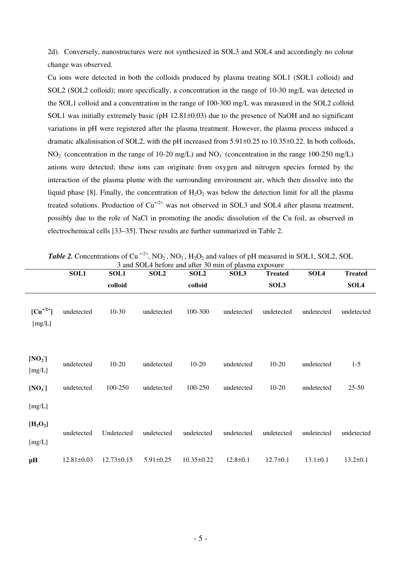2d). Conversely, nanostructures were not synthesized in SOL3 and SOL4 and accordingly no colour change was observed.

Cu ions were detected in both the colloids produced by plasma treating SOL1 (SOL1 colloid) and SOL2 (SOL2 colloid); more specifically, a concentration in the range of 10-30 mg/L was detected in the SOL1 colloid and a concentration in the range of 100-300 mg/L was measured in the SOL2 colloid. SOL1 was initially extremely basic (pH  $12.81\pm0.03$ ) due to the presence of NaOH and no significant variations in pH were registered after the plasma treatment. However, the plasma process induced a dramatic alkalinisation of SOL2, with the pH increased from 5.91±0.25 to 10.35±0.22. In both colloids,  $NO<sub>2</sub>$  (concentration in the range of 10-20 mg/L) and  $NO<sub>3</sub>$  (concentration in the range 100-250 mg/L) anions were detected; these ions can originate from oxygen and nitrogen species formed by the interaction of the plasma plume with the surrounding environment air, which then dissolve into the liquid phase [8]. Finally, the concentration of  $H_2O_2$  was below the detection limit for all the plasma treated solutions. Production of  $Cu^{+/2+}$  was not observed in SOL3 and SOL4 after plasma treatment, possibly due to the role of NaCl in promoting the anodic dissolution of the Cu foil, as observed in electrochemical cells [33–35]. These results are further summarized in Table 2.

| <b>Table 2.</b> Concentrations of Cu <sup>+/2+</sup> , NO <sub>2</sub> , NO <sub>3</sub> , H <sub>2</sub> O <sub>2</sub> and values of pH measured in SOL1, SOL2, SOL |       |       |         |      |         |       |      |  |
|-----------------------------------------------------------------------------------------------------------------------------------------------------------------------|-------|-------|---------|------|---------|-------|------|--|
| 3 and SOL4 before and after 30 min of plasma exposure                                                                                                                 |       |       |         |      |         |       |      |  |
| SOL 1                                                                                                                                                                 | SOL 1 | -SOL2 | -SOL 2- | SOL3 | Treated | SOL 4 | Trea |  |

|                              | <b>SOL1</b>      | <b>SOL1</b>      | SOL <sub>2</sub> | <b>SOL2</b> | SOL3           | <b>Treated</b> | SOL4           | <b>Treated</b> |
|------------------------------|------------------|------------------|------------------|-------------|----------------|----------------|----------------|----------------|
|                              |                  | colloid          |                  | colloid     |                | SOL3           |                | SOL4           |
| $[Cu^{+/2+}]$<br>[mg/L]      | undetected       | $10-30$          | undetected       | 100-300     | undetected     | undetected     | undetected     | undetected     |
| [NO <sub>2</sub> ]<br>[mg/L] | undetected       | $10-20$          | undetected       | $10-20$     | undetected     | $10-20$        | undetected     | $1 - 5$        |
| [NO <sub>3</sub> ]           | undetected       | 100-250          | undetected       | 100-250     | undetected     | $10-20$        | undetected     | $25 - 50$      |
| [mg/L]                       |                  |                  |                  |             |                |                |                |                |
| $[H_2O_2]$                   |                  |                  |                  |             |                |                |                |                |
| [mg/L]                       | undetected       | Undetected       | undetected       | undetected  | undetected     | undetected     | undetected     | undetected     |
| pH                           | $12.81 \pm 0.03$ | $12.73 \pm 0.15$ | $5.91 \pm 0.25$  | 10.35±0.22  | $12.8 \pm 0.1$ | $12.7 \pm 0.1$ | $13.1 \pm 0.1$ | $13.2 \pm 0.1$ |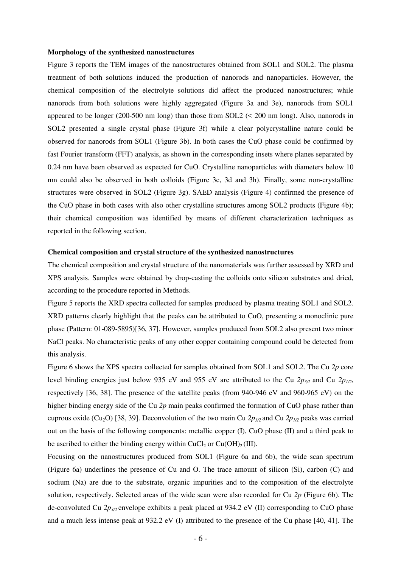#### **Morphology of the synthesized nanostructures**

Figure 3 reports the TEM images of the nanostructures obtained from SOL1 and SOL2. The plasma treatment of both solutions induced the production of nanorods and nanoparticles. However, the chemical composition of the electrolyte solutions did affect the produced nanostructures; while nanorods from both solutions were highly aggregated (Figure 3a and 3e), nanorods from SOL1 appeared to be longer (200-500 nm long) than those from SOL2 (< 200 nm long). Also, nanorods in SOL2 presented a single crystal phase (Figure 3f) while a clear polycrystalline nature could be observed for nanorods from SOL1 (Figure 3b). In both cases the CuO phase could be confirmed by fast Fourier transform (FFT) analysis, as shown in the corresponding insets where planes separated by 0.24 nm have been observed as expected for CuO. Crystalline nanoparticles with diameters below 10 nm could also be observed in both colloids (Figure 3c, 3d and 3h). Finally, some non-crystalline structures were observed in SOL2 (Figure 3g). SAED analysis (Figure 4) confirmed the presence of the CuO phase in both cases with also other crystalline structures among SOL2 products (Figure 4b); their chemical composition was identified by means of different characterization techniques as reported in the following section.

#### **Chemical composition and crystal structure of the synthesized nanostructures**

The chemical composition and crystal structure of the nanomaterials was further assessed by XRD and XPS analysis. Samples were obtained by drop-casting the colloids onto silicon substrates and dried, according to the procedure reported in Methods.

Figure 5 reports the XRD spectra collected for samples produced by plasma treating SOL1 and SOL2. XRD patterns clearly highlight that the peaks can be attributed to CuO, presenting a monoclinic pure phase (Pattern: 01-089-5895)[36, 37]. However, samples produced from SOL2 also present two minor NaCl peaks. No characteristic peaks of any other copper containing compound could be detected from this analysis.

Figure 6 shows the XPS spectra collected for samples obtained from SOL1 and SOL2. The Cu *2p* core level binding energies just below 935 eV and 955 eV are attributed to the Cu *2p3/2* and Cu *2p1/2*, respectively [36, 38]. The presence of the satellite peaks (from 940-946 eV and 960-965 eV) on the higher binding energy side of the Cu *2p* main peaks confirmed the formation of CuO phase rather than cuprous oxide (Cu<sub>2</sub>O) [38, 39]. Deconvolution of the two main Cu  $2p_{3/2}$  and Cu  $2p_{1/2}$  peaks was carried out on the basis of the following components: metallic copper (I), CuO phase (II) and a third peak to be ascribed to either the binding energy within  $CuCl<sub>2</sub>$  or  $Cu(OH)<sub>2</sub> (III)$ .

Focusing on the nanostructures produced from SOL1 (Figure 6a and 6b), the wide scan spectrum (Figure 6a) underlines the presence of Cu and O. The trace amount of silicon (Si), carbon (C) and sodium (Na) are due to the substrate, organic impurities and to the composition of the electrolyte solution, respectively. Selected areas of the wide scan were also recorded for Cu *2p* (Figure 6b). The de-convoluted Cu *2p3/2* envelope exhibits a peak placed at 934.2 eV (II) corresponding to CuO phase and a much less intense peak at 932.2 eV (I) attributed to the presence of the Cu phase [40, 41]. The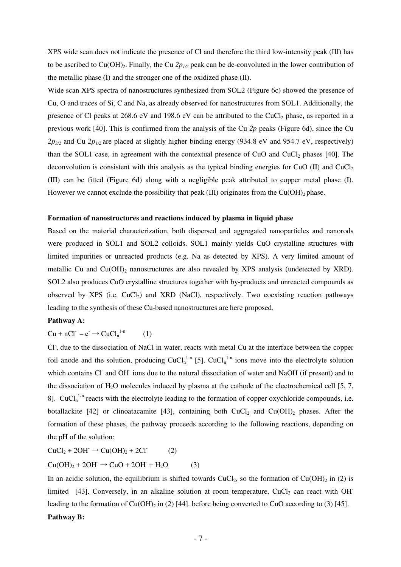XPS wide scan does not indicate the presence of Cl and therefore the third low-intensity peak (III) has to be ascribed to Cu(OH)<sub>2</sub>. Finally, the Cu  $2p_{1/2}$  peak can be de-convoluted in the lower contribution of the metallic phase (I) and the stronger one of the oxidized phase (II).

Wide scan XPS spectra of nanostructures synthesized from SOL2 (Figure 6c) showed the presence of Cu, O and traces of Si, C and Na, as already observed for nanostructures from SOL1. Additionally, the presence of Cl peaks at 268.6 eV and 198.6 eV can be attributed to the CuCl<sub>2</sub> phase, as reported in a previous work [40]. This is confirmed from the analysis of the Cu *2p* peaks (Figure 6d), since the Cu  $2p_{3/2}$  and Cu  $2p_{1/2}$  are placed at slightly higher binding energy (934.8 eV and 954.7 eV, respectively) than the SOL1 case, in agreement with the contextual presence of CuO and CuCl<sub>2</sub> phases [40]. The deconvolution is consistent with this analysis as the typical binding energies for CuO (II) and CuCl<sub>2</sub> (III) can be fitted (Figure 6d) along with a negligible peak attributed to copper metal phase (I). However we cannot exclude the possibility that peak (III) originates from the  $Cu(OH)_2$  phase.

### **Formation of nanostructures and reactions induced by plasma in liquid phase**

Based on the material characterization, both dispersed and aggregated nanoparticles and nanorods were produced in SOL1 and SOL2 colloids. SOL1 mainly yields CuO crystalline structures with limited impurities or unreacted products (e.g. Na as detected by XPS). A very limited amount of metallic Cu and  $Cu(OH)<sub>2</sub>$  nanostructures are also revealed by XPS analysis (undetected by XRD). SOL2 also produces CuO crystalline structures together with by-products and unreacted compounds as observed by XPS (i.e.  $CuCl<sub>2</sub>$ ) and XRD (NaCl), respectively. Two coexisting reaction pathways leading to the synthesis of these Cu-based nanostructures are here proposed.

### **Pathway A:**

 $Cu + nCl^- - e^- \rightarrow CuCl_n^{1-n}$  $(1)$ 

Cl<sup>-</sup>, due to the dissociation of NaCl in water, reacts with metal Cu at the interface between the copper foil anode and the solution, producing  $CuCl_n^{1-n}$  [5].  $CuCl_n^{1-n}$  ions move into the electrolyte solution which contains Cl<sup>-</sup> and OH<sup>-</sup> ions due to the natural dissociation of water and NaOH (if present) and to the dissociation of  $H_2O$  molecules induced by plasma at the cathode of the electrochemical cell [5, 7, 8].  $CuCl<sub>n</sub><sup>1-n</sup>$  reacts with the electrolyte leading to the formation of copper oxychloride compounds, i.e. botallackite [42] or clinoatacamite [43], containing both  $CuCl<sub>2</sub>$  and  $Cu(OH)<sub>2</sub>$  phases. After the formation of these phases, the pathway proceeds according to the following reactions, depending on the pH of the solution:

 $CuCl<sub>2</sub> + 2OH \rightarrow Cu(OH)<sub>2</sub> + 2Cl$ <sup>(2)</sup>  $Cu(OH)<sub>2</sub> + 2OH \rightarrow CuO + 2OH + H<sub>2</sub>O$  (3)

In an acidic solution, the equilibrium is shifted towards  $CuCl<sub>2</sub>$ , so the formation of  $Cu(OH)<sub>2</sub>$  in (2) is limited [43]. Conversely, in an alkaline solution at room temperature,  $CuCl<sub>2</sub>$  can react with OH leading to the formation of  $Cu(OH)_2$  in (2) [44]. before being converted to CuO according to (3) [45].

## **Pathway B:**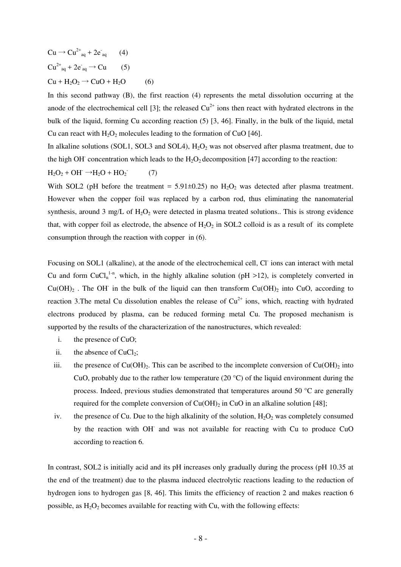$Cu \rightarrow Cu^{2+}_{aq} + 2e^-_{aq}$  (4)  $Cu^{2+}$ <sub>aq</sub> + 2e<sup>-</sup><sub>aq</sub>  $\rightarrow$  Cu (5)  $Cu + H<sub>2</sub>O<sub>2</sub> \rightarrow CuO + H<sub>2</sub>O$  (6)

In this second pathway (B), the first reaction (4) represents the metal dissolution occurring at the anode of the electrochemical cell [3]; the released  $Cu^{2+}$  ions then react with hydrated electrons in the bulk of the liquid, forming Cu according reaction (5) [3, 46]. Finally, in the bulk of the liquid, metal Cu can react with  $H_2O_2$  molecules leading to the formation of CuO [46].

In alkaline solutions (SOL1, SOL3 and SOL4),  $H_2O_2$  was not observed after plasma treatment, due to the high OH<sup>-</sup> concentration which leads to the  $H_2O_2$  decomposition [47] according to the reaction:

$$
H_2O_2 + OH^- \rightarrow H_2O + HO_2 \tag{7}
$$

With SOL2 (pH before the treatment =  $5.91\pm0.25$ ) no  $H_2O_2$  was detected after plasma treatment. However when the copper foil was replaced by a carbon rod, thus eliminating the nanomaterial synthesis, around 3 mg/L of  $H_2O_2$  were detected in plasma treated solutions.. This is strong evidence that, with copper foil as electrode, the absence of  $H_2O_2$  in SOL2 colloid is as a result of its complete consumption through the reaction with copper in (6).

Focusing on SOL1 (alkaline), at the anode of the electrochemical cell, Cl ions can interact with metal Cu and form CuCl<sub>n</sub><sup>1-n</sup>, which, in the highly alkaline solution (pH >12), is completely converted in  $Cu(OH)_2$ . The OH in the bulk of the liquid can then transform  $Cu(OH)_2$  into CuO, according to reaction 3. The metal Cu dissolution enables the release of  $Cu^{2+}$  ions, which, reacting with hydrated electrons produced by plasma, can be reduced forming metal Cu. The proposed mechanism is supported by the results of the characterization of the nanostructures, which revealed:

- i. the presence of CuO;
- ii. the absence of  $CuCl<sub>2</sub>$ ;
- iii. the presence of  $Cu(OH)_{2}$ . This can be ascribed to the incomplete conversion of  $Cu(OH)_{2}$  into CuO, probably due to the rather low temperature (20 °C) of the liquid environment during the process. Indeed, previous studies demonstrated that temperatures around 50 °C are generally required for the complete conversion of  $Cu(OH)_2$  in CuO in an alkaline solution [48];
- iv. the presence of Cu. Due to the high alkalinity of the solution,  $H_2O_2$  was completely consumed by the reaction with OH- and was not available for reacting with Cu to produce CuO according to reaction 6.

In contrast, SOL2 is initially acid and its pH increases only gradually during the process (pH 10.35 at the end of the treatment) due to the plasma induced electrolytic reactions leading to the reduction of hydrogen ions to hydrogen gas [8, 46]. This limits the efficiency of reaction 2 and makes reaction 6 possible, as  $H_2O_2$  becomes available for reacting with Cu, with the following effects: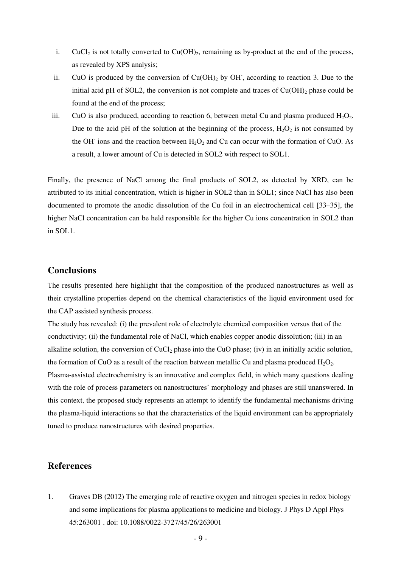- i. CuCl<sub>2</sub> is not totally converted to  $Cu(OH)_2$ , remaining as by-product at the end of the process, as revealed by XPS analysis;
- ii. CuO is produced by the conversion of  $Cu(OH)_2$  by  $OH$ , according to reaction 3. Due to the initial acid pH of SOL2, the conversion is not complete and traces of  $Cu(OH)_{2}$  phase could be found at the end of the process;
- iii. CuO is also produced, according to reaction 6, between metal Cu and plasma produced  $H_2O_2$ . Due to the acid pH of the solution at the beginning of the process,  $H_2O_2$  is not consumed by the OH<sup>-</sup> ions and the reaction between  $H_2O_2$  and Cu can occur with the formation of CuO. As a result, a lower amount of Cu is detected in SOL2 with respect to SOL1.

Finally, the presence of NaCl among the final products of SOL2, as detected by XRD, can be attributed to its initial concentration, which is higher in SOL2 than in SOL1; since NaCl has also been documented to promote the anodic dissolution of the Cu foil in an electrochemical cell [33–35], the higher NaCl concentration can be held responsible for the higher Cu ions concentration in SOL2 than in SOL1.

## **Conclusions**

The results presented here highlight that the composition of the produced nanostructures as well as their crystalline properties depend on the chemical characteristics of the liquid environment used for the CAP assisted synthesis process.

The study has revealed: (i) the prevalent role of electrolyte chemical composition versus that of the conductivity; (ii) the fundamental role of NaCl, which enables copper anodic dissolution; (iii) in an alkaline solution, the conversion of  $CuCl<sub>2</sub>$  phase into the CuO phase; (iv) in an initially acidic solution, the formation of CuO as a result of the reaction between metallic Cu and plasma produced  $H_2O_2$ . Plasma-assisted electrochemistry is an innovative and complex field, in which many questions dealing with the role of process parameters on nanostructures' morphology and phases are still unanswered. In this context, the proposed study represents an attempt to identify the fundamental mechanisms driving the plasma-liquid interactions so that the characteristics of the liquid environment can be appropriately tuned to produce nanostructures with desired properties.

## **References**

1. Graves DB (2012) The emerging role of reactive oxygen and nitrogen species in redox biology and some implications for plasma applications to medicine and biology. J Phys D Appl Phys 45:263001 . doi: 10.1088/0022-3727/45/26/263001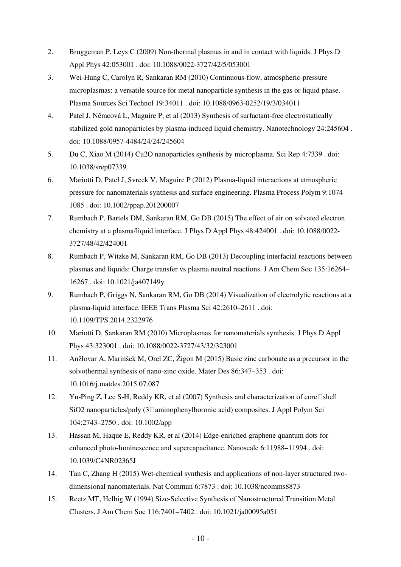- 2. Bruggeman P, Leys C (2009) Non-thermal plasmas in and in contact with liquids. J Phys D Appl Phys 42:053001 . doi: 10.1088/0022-3727/42/5/053001
- 3. Wei-Hung C, Carolyn R, Sankaran RM (2010) Continuous-flow, atmospheric-pressure microplasmas: a versatile source for metal nanoparticle synthesis in the gas or liquid phase. Plasma Sources Sci Technol 19:34011 . doi: 10.1088/0963-0252/19/3/034011
- 4. Patel J, Němcová L, Maguire P, et al (2013) Synthesis of surfactant-free electrostatically stabilized gold nanoparticles by plasma-induced liquid chemistry. Nanotechnology 24:245604 . doi: 10.1088/0957-4484/24/24/245604
- 5. Du C, Xiao M (2014) Cu2O nanoparticles synthesis by microplasma. Sci Rep 4:7339 . doi: 10.1038/srep07339
- 6. Mariotti D, Patel J, Svrcek V, Maguire P (2012) Plasma-liquid interactions at atmospheric pressure for nanomaterials synthesis and surface engineering. Plasma Process Polym 9:1074– 1085 . doi: 10.1002/ppap.201200007
- 7. Rumbach P, Bartels DM, Sankaran RM, Go DB (2015) The effect of air on solvated electron chemistry at a plasma/liquid interface. J Phys D Appl Phys 48:424001 . doi: 10.1088/0022- 3727/48/42/424001
- 8. Rumbach P, Witzke M, Sankaran RM, Go DB (2013) Decoupling interfacial reactions between plasmas and liquids: Charge transfer vs plasma neutral reactions. J Am Chem Soc 135:16264– 16267 . doi: 10.1021/ja407149y
- 9. Rumbach P, Griggs N, Sankaran RM, Go DB (2014) Visualization of electrolytic reactions at a plasma-liquid interface. IEEE Trans Plasma Sci 42:2610–2611 . doi: 10.1109/TPS.2014.2322976
- 10. Mariotti D, Sankaran RM (2010) Microplasmas for nanomaterials synthesis. J Phys D Appl Phys 43:323001 . doi: 10.1088/0022-3727/43/32/323001
- 11. Anžlovar A, Marinšek M, Orel ZC, Žigon M (2015) Basic zinc carbonate as a precursor in the solvothermal synthesis of nano-zinc oxide. Mater Des 86:347–353 . doi: 10.1016/j.matdes.2015.07.087
- 12. Yu-Ping Z, Lee S-H, Reddy KR, et al (2007) Synthesis and characterization of core  $\Box$ shell SiO2 nanoparticles/poly  $(3\Box \text{aminophen}$ vlboronic acid) composites. J Appl Polym Sci 104:2743–2750 . doi: 10.1002/app
- 13. Hassan M, Haque E, Reddy KR, et al (2014) Edge-enriched graphene quantum dots for enhanced photo-luminescence and supercapacitance. Nanoscale 6:11988–11994 . doi: 10.1039/C4NR02365J
- 14. Tan C, Zhang H (2015) Wet-chemical synthesis and applications of non-layer structured twodimensional nanomaterials. Nat Commun 6:7873 . doi: 10.1038/ncomms8873
- 15. Reetz MT, Helbig W (1994) Size-Selective Synthesis of Nanostructured Transition Metal Clusters. J Am Chem Soc 116:7401–7402 . doi: 10.1021/ja00095a051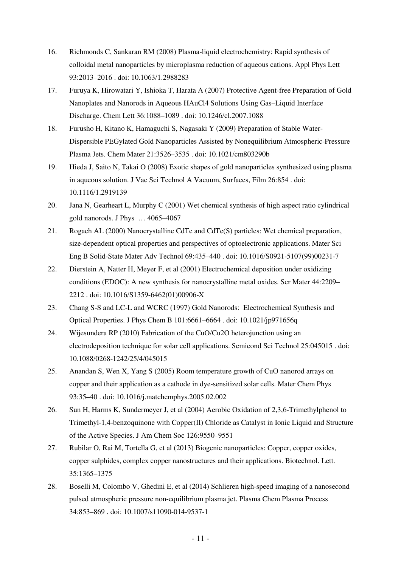- 16. Richmonds C, Sankaran RM (2008) Plasma-liquid electrochemistry: Rapid synthesis of colloidal metal nanoparticles by microplasma reduction of aqueous cations. Appl Phys Lett 93:2013–2016 . doi: 10.1063/1.2988283
- 17. Furuya K, Hirowatari Y, Ishioka T, Harata A (2007) Protective Agent-free Preparation of Gold Nanoplates and Nanorods in Aqueous HAuCl4 Solutions Using Gas–Liquid Interface Discharge. Chem Lett 36:1088–1089 . doi: 10.1246/cl.2007.1088
- 18. Furusho H, Kitano K, Hamaguchi S, Nagasaki Y (2009) Preparation of Stable Water-Dispersible PEGylated Gold Nanoparticles Assisted by Nonequilibrium Atmospheric-Pressure Plasma Jets. Chem Mater 21:3526–3535 . doi: 10.1021/cm803290b
- 19. Hieda J, Saito N, Takai O (2008) Exotic shapes of gold nanoparticles synthesized using plasma in aqueous solution. J Vac Sci Technol A Vacuum, Surfaces, Film 26:854 . doi: 10.1116/1.2919139
- 20. Jana N, Gearheart L, Murphy C (2001) Wet chemical synthesis of high aspect ratio cylindrical gold nanorods. J Phys … 4065–4067
- 21. Rogach AL (2000) Nanocrystalline CdTe and CdTe(S) particles: Wet chemical preparation, size-dependent optical properties and perspectives of optoelectronic applications. Mater Sci Eng B Solid-State Mater Adv Technol 69:435–440 . doi: 10.1016/S0921-5107(99)00231-7
- 22. Dierstein A, Natter H, Meyer F, et al (2001) Electrochemical deposition under oxidizing conditions (EDOC): A new synthesis for nanocrystalline metal oxides. Scr Mater 44:2209– 2212 . doi: 10.1016/S1359-6462(01)00906-X
- 23. Chang S-S and LC-L and WCRC (1997) Gold Nanorods: Electrochemical Synthesis and Optical Properties. J Phys Chem B 101:6661–6664 . doi: 10.1021/jp971656q
- 24. Wijesundera RP (2010) Fabrication of the CuO/Cu2O heterojunction using an electrodeposition technique for solar cell applications. Semicond Sci Technol 25:045015 . doi: 10.1088/0268-1242/25/4/045015
- 25. Anandan S, Wen X, Yang S (2005) Room temperature growth of CuO nanorod arrays on copper and their application as a cathode in dye-sensitized solar cells. Mater Chem Phys 93:35–40 . doi: 10.1016/j.matchemphys.2005.02.002
- 26. Sun H, Harms K, Sundermeyer J, et al (2004) Aerobic Oxidation of 2,3,6-Trimethylphenol to Trimethyl-1,4-benzoquinone with Copper(II) Chloride as Catalyst in Ionic Liquid and Structure of the Active Species. J Am Chem Soc 126:9550–9551
- 27. Rubilar O, Rai M, Tortella G, et al (2013) Biogenic nanoparticles: Copper, copper oxides, copper sulphides, complex copper nanostructures and their applications. Biotechnol. Lett. 35:1365–1375
- 28. Boselli M, Colombo V, Ghedini E, et al (2014) Schlieren high-speed imaging of a nanosecond pulsed atmospheric pressure non-equilibrium plasma jet. Plasma Chem Plasma Process 34:853–869 . doi: 10.1007/s11090-014-9537-1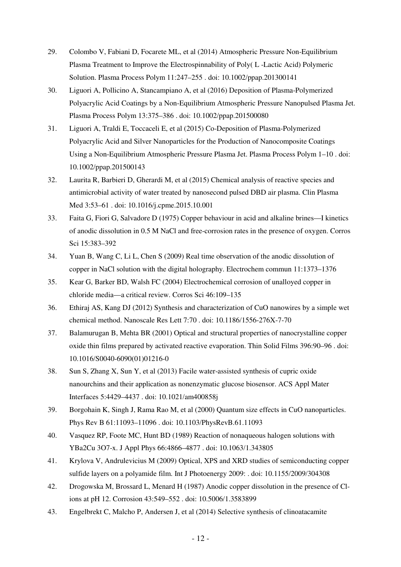- 29. Colombo V, Fabiani D, Focarete ML, et al (2014) Atmospheric Pressure Non-Equilibrium Plasma Treatment to Improve the Electrospinnability of Poly( L -Lactic Acid) Polymeric Solution. Plasma Process Polym 11:247–255 . doi: 10.1002/ppap.201300141
- 30. Liguori A, Pollicino A, Stancampiano A, et al (2016) Deposition of Plasma-Polymerized Polyacrylic Acid Coatings by a Non-Equilibrium Atmospheric Pressure Nanopulsed Plasma Jet. Plasma Process Polym 13:375–386 . doi: 10.1002/ppap.201500080
- 31. Liguori A, Traldi E, Toccaceli E, et al (2015) Co-Deposition of Plasma-Polymerized Polyacrylic Acid and Silver Nanoparticles for the Production of Nanocomposite Coatings Using a Non-Equilibrium Atmospheric Pressure Plasma Jet. Plasma Process Polym 1–10 . doi: 10.1002/ppap.201500143
- 32. Laurita R, Barbieri D, Gherardi M, et al (2015) Chemical analysis of reactive species and antimicrobial activity of water treated by nanosecond pulsed DBD air plasma. Clin Plasma Med 3:53–61 . doi: 10.1016/j.cpme.2015.10.001
- 33. Faita G, Fiori G, Salvadore D (1975) Copper behaviour in acid and alkaline brines—I kinetics of anodic dissolution in 0.5 M NaCl and free-corrosion rates in the presence of oxygen. Corros Sci 15:383–392
- 34. Yuan B, Wang C, Li L, Chen S (2009) Real time observation of the anodic dissolution of copper in NaCl solution with the digital holography. Electrochem commun 11:1373–1376
- 35. Kear G, Barker BD, Walsh FC (2004) Electrochemical corrosion of unalloyed copper in chloride media––a critical review. Corros Sci 46:109–135
- 36. Ethiraj AS, Kang DJ (2012) Synthesis and characterization of CuO nanowires by a simple wet chemical method. Nanoscale Res Lett 7:70 . doi: 10.1186/1556-276X-7-70
- 37. Balamurugan B, Mehta BR (2001) Optical and structural properties of nanocrystalline copper oxide thin films prepared by activated reactive evaporation. Thin Solid Films 396:90–96 . doi: 10.1016/S0040-6090(01)01216-0
- 38. Sun S, Zhang X, Sun Y, et al (2013) Facile water-assisted synthesis of cupric oxide nanourchins and their application as nonenzymatic glucose biosensor. ACS Appl Mater Interfaces 5:4429–4437 . doi: 10.1021/am400858j
- 39. Borgohain K, Singh J, Rama Rao M, et al (2000) Quantum size effects in CuO nanoparticles. Phys Rev B 61:11093–11096 . doi: 10.1103/PhysRevB.61.11093
- 40. Vasquez RP, Foote MC, Hunt BD (1989) Reaction of nonaqueous halogen solutions with YBa2Cu 3O7-x. J Appl Phys 66:4866–4877 . doi: 10.1063/1.343805
- 41. Krylova V, Andrulevicius M (2009) Optical, XPS and XRD studies of semiconducting copper sulfide layers on a polyamide film. Int J Photoenergy 2009: . doi: 10.1155/2009/304308
- 42. Drogowska M, Brossard L, Menard H (1987) Anodic copper dissolution in the presence of Clions at pH 12. Corrosion 43:549–552 . doi: 10.5006/1.3583899
- 43. Engelbrekt C, Malcho P, Andersen J, et al (2014) Selective synthesis of clinoatacamite